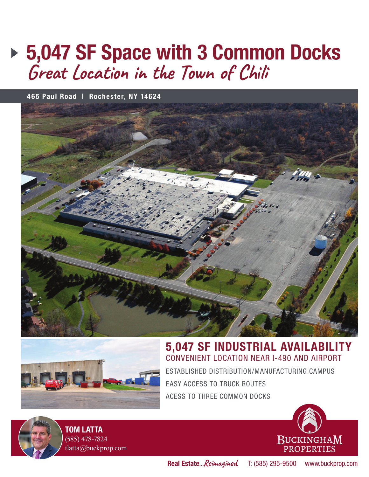## **5,047 SF Space with 3 Common Docks**  $G$ reat Location in the Town of Chili

**465 Paul Road | Rochester, NY 14624**





## **5,047 SF INDUSTRIAL AVAILABILITY** CONVENIENT LOCATION NEAR I-490 AND AIRPORT

ESTABLISHED DISTRIBUTION/MANUFACTURING CAMPUS EASY ACCESS TO TRUCK ROUTES ACESS TO THREE COMMON DOCKS